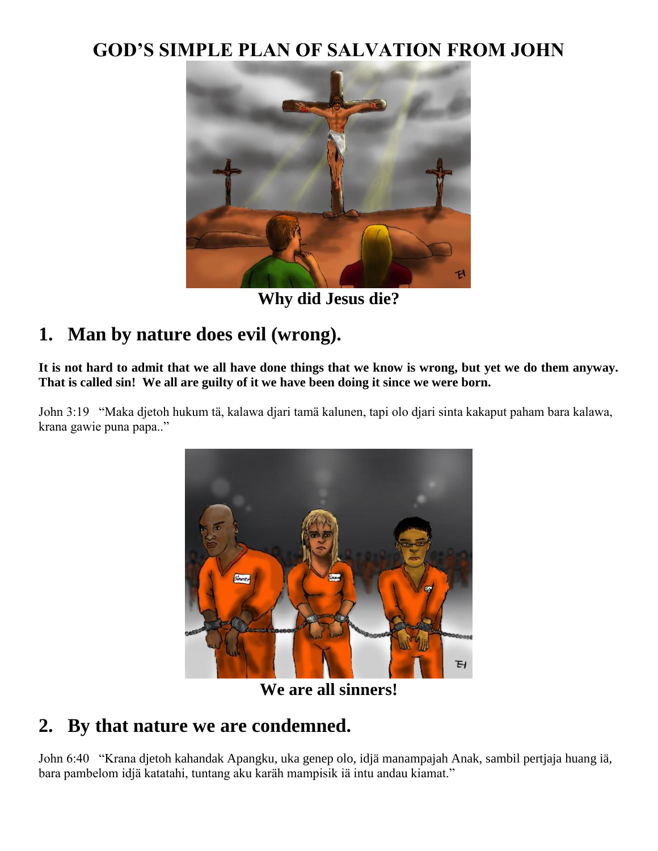### **GOD'S SIMPLE PLAN OF SALVATION FROM JOHN**



**Why did Jesus die?**

## **1. Man by nature does evil (wrong).**

**It is not hard to admit that we all have done things that we know is wrong, but yet we do them anyway. That is called sin! We all are guilty of it we have been doing it since we were born.**

John 3:19 "Maka djetoh hukum tä, kalawa djari tamä kalunen, tapi olo djari sinta kakaput paham bara kalawa, krana gawie puna papa.."



**We are all sinners!**

#### **2. By that nature we are condemned.**

John 6:40 "Krana djetoh kahandak Apangku, uka genep olo, idjä manampajah Anak, sambil pertjaja huang iä, bara pambelom idjä katatahi, tuntang aku karäh mampisik iä intu andau kiamat."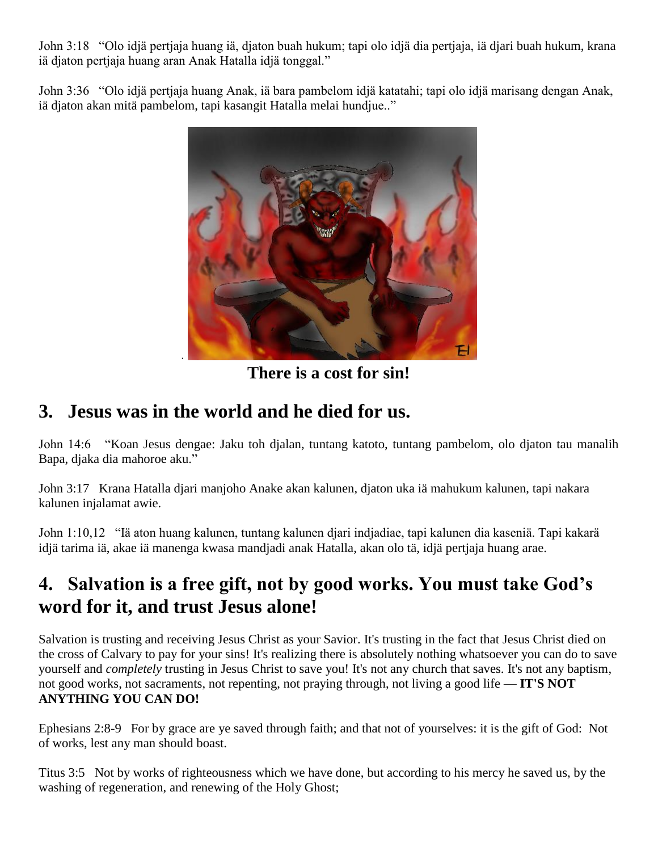John 3:18 "Olo idjä pertjaja huang iä, djaton buah hukum; tapi olo idjä dia pertjaja, iä djari buah hukum, krana iä djaton pertjaja huang aran Anak Hatalla idjä tonggal."

John 3:36 "Olo idjä pertjaja huang Anak, iä bara pambelom idjä katatahi; tapi olo idjä marisang dengan Anak, iä djaton akan mitä pambelom, tapi kasangit Hatalla melai hundjue.."



**There is a cost for sin!**

### **3. Jesus was in the world and he died for us.**

John 14:6 "Koan Jesus dengae: Jaku toh djalan, tuntang katoto, tuntang pambelom, olo djaton tau manalih Bapa, djaka dia mahoroe aku."

John 3:17 Krana Hatalla djari manjoho Anake akan kalunen, djaton uka iä mahukum kalunen, tapi nakara kalunen injalamat awie.

John 1:10,12 "Iä aton huang kalunen, tuntang kalunen djari indjadiae, tapi kalunen dia kaseniä. Tapi kakarä idjä tarima iä, akae iä manenga kwasa mandjadi anak Hatalla, akan olo tä, idjä pertjaja huang arae.

# **4. Salvation is a free gift, not by good works. You must take God's word for it, and trust Jesus alone!**

Salvation is trusting and receiving Jesus Christ as your Savior. It's trusting in the fact that Jesus Christ died on the cross of Calvary to pay for your sins! It's realizing there is absolutely nothing whatsoever you can do to save yourself and *completely* trusting in Jesus Christ to save you! It's not any church that saves. It's not any baptism, not good works, not sacraments, not repenting, not praying through, not living a good life — **IT'S NOT ANYTHING YOU CAN DO!**

Ephesians 2:8-9 For by grace are ye saved through faith; and that not of yourselves: it is the gift of God: Not of works, lest any man should boast.

Titus 3:5 Not by works of righteousness which we have done, but according to his mercy he saved us, by the washing of regeneration, and renewing of the Holy Ghost;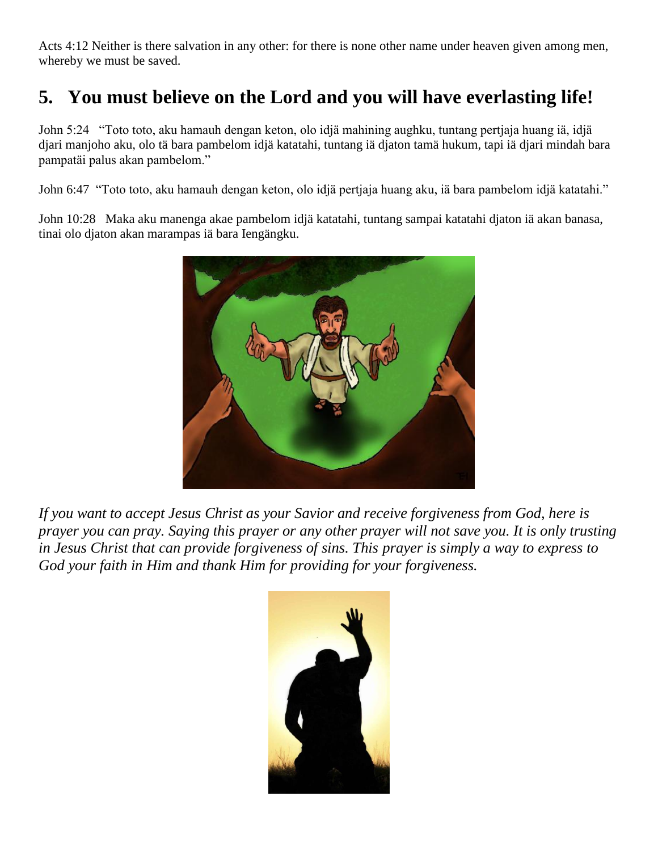Acts 4:12 Neither is there salvation in any other: for there is none other name under heaven given among men, whereby we must be saved.

# **5. You must believe on the Lord and you will have everlasting life!**

John 5:24 "Toto toto, aku hamauh dengan keton, olo idjä mahining aughku, tuntang pertjaja huang iä, idjä djari manjoho aku, olo tä bara pambelom idjä katatahi, tuntang iä djaton tamä hukum, tapi iä djari mindah bara pampatäi palus akan pambelom."

John 6:47 "Toto toto, aku hamauh dengan keton, olo idjä pertjaja huang aku, iä bara pambelom idjä katatahi."

John 10:28 Maka aku manenga akae pambelom idjä katatahi, tuntang sampai katatahi djaton iä akan banasa, tinai olo djaton akan marampas iä bara Iengängku.



*If you want to accept Jesus Christ as your Savior and receive forgiveness from God, here is prayer you can pray. Saying this prayer or any other prayer will not save you. It is only trusting in Jesus Christ that can provide forgiveness of sins. This prayer is simply a way to express to God your faith in Him and thank Him for providing for your forgiveness.*